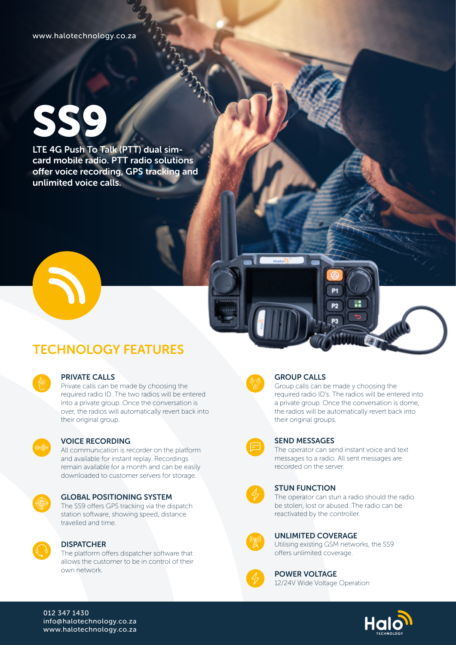# SS9

LTE 4G Push To Talk (PTT) dual simcard mobile radio. PTT radio solutions offer voice recording, GPS tracking and unlimited voice calls.



## TECHNOLOGY FEATURES

| e<br>∊<br>٠<br>ł                               |  |
|------------------------------------------------|--|
| ٠<br>٠<br>٠<br>r<br>÷<br>٠<br>٠<br>٠<br>٠<br>٠ |  |
|                                                |  |

#### PRIVATE CALLS

Private calls can be made by choosing the required radio ID. The two radios will be entered into a private group. Once the conversation is over, the radios will automatically revert back into their original group.



#### VOICE RECORDING

All communication is recorder on the platform and available for instant replay. Recordings remain available for a month and can be easily downloaded to customer servers for storage.



#### GLOBAL POSITIONING SYSTEM

The SS9 offers GPS tracking via the dispatch station software, showing speed, distance travelled and time.



#### **DISPATCHER**

The platform offers dispatcher software that allows the customer to be in control of their own network.



#### GROUP CALLS

Halon

Group calls can be made y choosing the required radio ID's. The radios will be entered into a private group. Once the conversation is dome, the radios will be automatically revert back into their original groups.



#### SEND MESSAGES

The operator can send instant voice and text messages to a radio. All sent messages are recorded on the server.



#### STUN FUNCTION

The operator can stun a radio should the radio be stolen, lost or abused. The radio can be reactivated by the controller.



#### UNLIMITED COVERAGE

Utilising existing GSM networks, the SS9 offers unlimited coverage.



POWER VOLTAGE 12/24V Wide Voltage Operation



#### 012 347 1430 info@halotechnology.co.za www.halotechnology.co.za